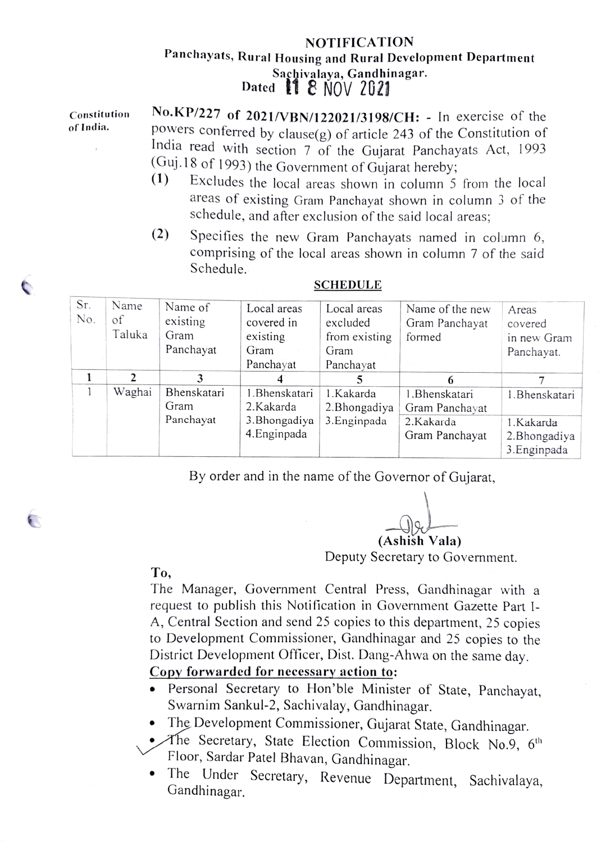## NOTIFICATION Panchayats, Rural Housing and Rural Development Department Sachivalaya, Gandhinagar.<br>Dated  $\blacksquare$  8 NOV 2021

| Constitution<br>of India. | No.KP/227 of 2021/VBN/122021/3198/CH: - In exercise of the<br>powers conferred by clause $(g)$ of article 243 of the Constitution of |
|---------------------------|--------------------------------------------------------------------------------------------------------------------------------------|
|                           | India read with section 7 of the Gujarat Panchayats Act, 1993                                                                        |
|                           | (Guj.18 of 1993) the Government of Gujarat hereby;<br>(1)                                                                            |
|                           | Excludes the local areas shown in column 5 from the local                                                                            |

- areas of existing Gram Panchayat shown in column 3 of the schedule, and after exclusion of the said local areas;
- (2) Specifies the new Gram Panchayats named in column 6, comprising of the local areas shown in column 7 of the said Schedule.

| Sr.<br>No. | Name<br>of<br>Taluka | Name of<br>existing<br>Gram<br>Panchayat | Local areas<br>covered in<br>existing<br>Gram<br>Panchayat | Local areas<br>excluded<br>from existing<br>Gram<br>Panchayat | Name of the new<br>Gram Panchayat<br>formed   | Areas<br>covered<br>in new Gram<br>Panchayat. |
|------------|----------------------|------------------------------------------|------------------------------------------------------------|---------------------------------------------------------------|-----------------------------------------------|-----------------------------------------------|
|            |                      | 3                                        | 4                                                          |                                                               | 6                                             |                                               |
|            | Waghai               | Bhenskatari<br>Gram<br>Panchayat         | 1.Bhenskatari<br>2.Kakarda<br>3. Bhongadiya                | 1.Kakarda<br>2. Bhongadiya<br>3. Enginpada                    | 1. Bhenskatari<br>Gram Panchayat<br>2.Kakarda | 1. Bhenskatari<br>1.Kakarda                   |
|            |                      |                                          | 4. Enginpada                                               |                                                               | Gram Panchayat                                | 2. Bhongadiya<br>3. Enginpada                 |

## SCHEDULE

By order and in the name of the Governor of Gujarat,

(Ashish Vala)

Deputy Secretary to Government.

## To,

€

The Manager, Government Central Press, Gandhinagar with a request to publish this Notification in Government Gazette Part I-A, Central Section and send 25 copies to this department, 25 copies to Development Commissioner, Gandhinagar and 25 copies to the District Development Officer, Dist. Dang-Ahwa on the same day.

## Copy forwarded for necessary action to:

- Personal Secretary to Hon'ble Minister of State, Panchayat, Swarnim Sankul-2, Sachivalay, Gandhinagar.
- The Development Commissioner, Gujarat State, Gandhinagar.
- The Secretary, State Election Commission, Block No.9, 6<sup>th</sup> Floor, Sardar Patel Bhavan, Gandhinagar.
- The Under Secretary, Revenue Department, Sachivalaya, Gandhinagar.